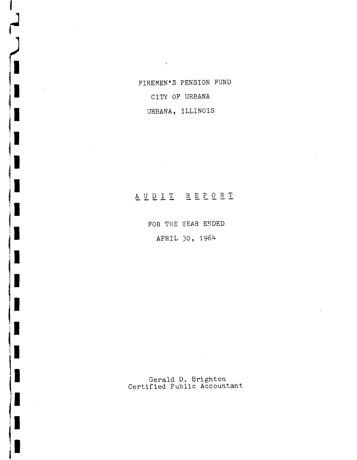URBANA, ILLINOIS FIREMEN'S PENSION FUND CITY OF URBANA

 $\mathcal{A}^{\mathcal{A}}$ 

and and a

١

I

I

1

i<br>Li

I

I

# **----- ------** A U D I T REP 0 R T

FOR THE YEAR ENDED APRIL 30, 1964

Gerald D. Brighton Certified Public Accountant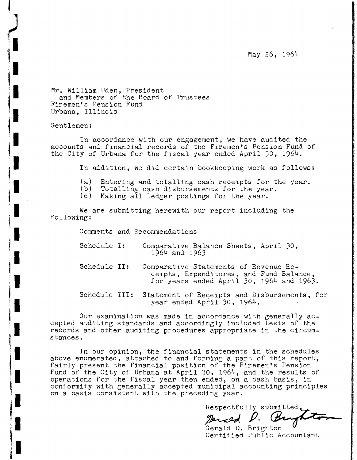May 26, 1964

Mr. William Uden, President and Members of the Board of Trustees Firemen's Pension Fund Urbana, Illinois

Gentlemen:

In accordance with our engagement, we have audited the accounts and financial records of the Firemen's Pension Fund of the City of Urbana for the fiscal year ended April 30, 1964.

In addition, we did certain bookkeeping work as follows:

- (a) Entering and totalling cash receipts for the year.<br>(b) Totalling cash disbursements for the year.
- (b) Totalling cash disbursements for the year.<br>(c) Making all ledger postings for the year.
- Making all ledger postings for the year.

We are submitting herewith our report including the following:

Comments and Recommendations

- Schedule **I:** Comparative Balance Sheets, April 30, 1964 and 1963
- Schedule II: Comparative Statements of Revenue Receipts, Expenditures, and Fund Balance, for years ended April 30, 1964 and 1963.
- Schedule III: Statement of Receipts and Disbursements, for year ended April 30, 1964.

Our examination was made in accordance with generally accepted auditing standards and accordingly included tests of the records and other auditing procedures appropriate in the circumstances.

In our opinion, the financial statements in the schedules above enumerated, attached to and forming a part of this report, fairly present the financial position of the Firemen's Pension Fund of the City of Urbana at April 30, 1964, and the results of operations for the fiscal year then ended, on a cash basis, in conformity with generally accepted municipal accounting principles on a basis consistent with the preceding year.

Respectfully submitted<br> $p$ . But

Gerald D. Brighton Certified Public Accountant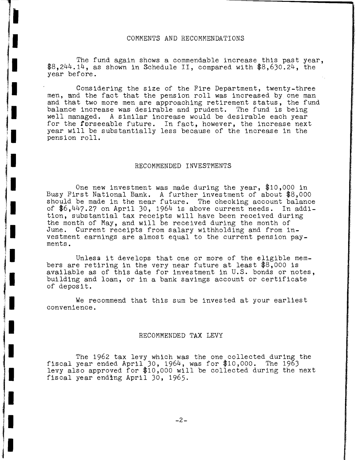#### COMMENTS AND RECOMMENDATIONS

The fund again shows a commendable increase this past year,  $$8,244.14$ , as shown in Schedule II, compared with  $$8,630.24$ , the year before.

Considering the size of the Fire Department, twenty-three men, and the fact that the pension roll was increased by one man and that two more men are approaching retirement status, the fund balance increase was desirable and prudent. The fund is being well managed. A similar increase would be desirable each year for the forseeable future. In fact, however, the increase next year will be substantially less because of the increase in the pens ion roll.

#### RECOMMENDED INVESTMENTS

One new investment was made during the year, \$10,000 in Busy First National Bank. A further investment of about \$8,000 should be made in the near future. The checking account balance of \$6,447.27 on April 30, 1964 is above current needs. In addition, substantial tax receipts will have been received during the month of May, and will be received during the month of June. Current receipts from salary withholding and from investment earnings are almost equal to the current pension payments.

Unless it develops that one or more of the eligible members are retiring in the very near future at least \$8,000 is available as of this date for investment in U.S. bonds or notes, building and loan, or in a bank savings account or certificate of deposit.

We recommend that this sum be invested at your earliest convenience.

#### RECOMMENDED TAX LEVY

The 1962 tax levy which was the one collected during the vear ended April 30, 1964, was for  $$10,000$ . The 1963 fiscal year ended April 30, 1964, was for  $$10,000$ . levy also approved for \$10,000 will be collected during the next fiscal year ending April 30, 1965.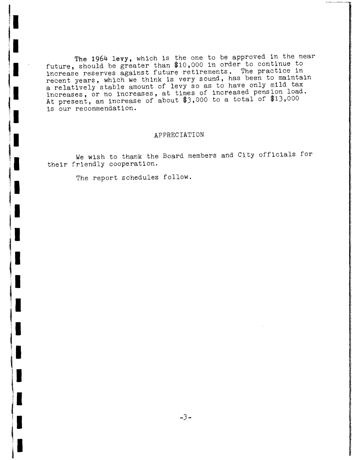The 1964 levy, which is the one to be approved in the near future, should be greater than \$10,000 in order to continue to increase reserves against future retirements. The practice in recent years, which we think is very sound, has been to maintain a relatively stable amount of levy so as to have only mild tax increases, or no increases, at times of increased pension load. At present, an increase of about \$3,000 to a total of \$13,000 is our recommendation.

### APPRECIATION

We wish to thank the Board members and City officials for their friendly cooperation.

The report schedules follow.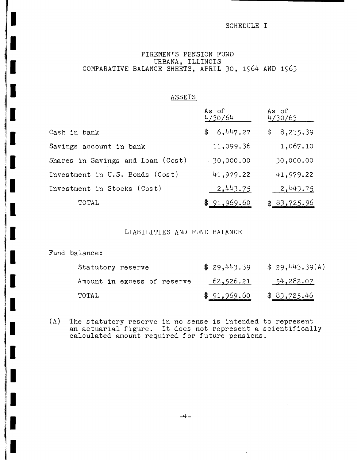## SCHEDULE I

## FIREMEN'S PENSION FUND URBANA, ILLINOIS COMPARATIVE BALANCE SHEETS, APRIL 30, 1964 AND 1963

|                                   | As of<br>4/30/64 | As of<br>4/30/63    |
|-----------------------------------|------------------|---------------------|
| Cash in bank                      | 6,447.27<br>\$   | 8,235.39<br>\$      |
| Savings account in bank           | 11,099.36        | 1,067.10            |
| Shares in Savings and Loan (Cost) | .30,000.00       | 30,000.00           |
| Investment in U.S. Bonds (Cost)   | 41,979.22        | 41,979.22           |
| Investment in Stocks (Cost)       | 2,443.75         | 2,443.75            |
| TOTAL                             | \$91,969.60      | \$ <u>83,725.96</u> |

ASSETS

## LIABILITIES AND FUND BALANCE

Fund balance:

 $\blacksquare$ 

 $\blacksquare$ 

I

r

П

Ц

I

| Statutory reserve           | \$29,443.39 | \$29,443.39(A) |
|-----------------------------|-------------|----------------|
| Amount in excess of reserve | 62,526.21   | 54,282.07      |
| TOTAL                       | \$91,969.60 | \$83,725.46    |

(A) The statutory reserve in no sense is intended to represent an actuarial figure. It does not represent a scientifically calculated amount required for future pensions.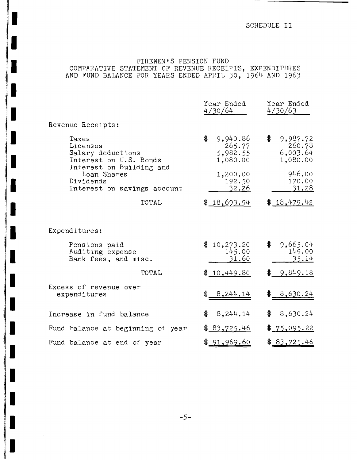# FIREMEN'S PENSION FUND COMPARATIVE STATEMENT OF REVENUE RECEIPTS, EXPENDITURES AND FUND BALANCE FOR YEARS ENDED APRIL 30, 1964 AND 1963

|                                                                                              | Year Ended<br>4/30/64                            | Year Ended<br>4/30/63                            |
|----------------------------------------------------------------------------------------------|--------------------------------------------------|--------------------------------------------------|
| Revenue Receipts:                                                                            |                                                  |                                                  |
| Taxes<br>Licenses<br>Salary deductions<br>Interest on U.S. Bonds<br>Interest on Building and | \$<br>9,940.86<br>265.77<br>5,982.55<br>1,080.00 | \$<br>9,987.72<br>260.78<br>6,003.64<br>1,080.00 |
| Loan Shares<br>Dividends<br>Interest on savings account                                      | 1,200.00<br>192.50<br>32.26                      | 946.00<br>170.00<br>31.28                        |
| TOTAL                                                                                        | \$18,693.94                                      | \$18,479.42                                      |
| Expenditures:                                                                                |                                                  |                                                  |
| Pensions paid<br>Auditing expense<br>Bank fees, and misc.                                    | \$<br>10,273.20<br>145.00<br>31.60               | \$<br>9,665.04<br>149.00<br>35.14                |
| TOTAL                                                                                        | \$10,449.80                                      | \$9,849.18                                       |
| Excess of revenue over<br>expenditures                                                       | \$8,244.14                                       | \$8,630.24                                       |
| Increase in fund balance                                                                     | \$<br>8,244.14                                   | \$<br>8,630.24                                   |
| Fund balance at beginning of year                                                            | \$ <u>83,725.46</u>                              | \$ <u>75,095.22</u>                              |
| Fund balance at end of year                                                                  | \$91,969.60                                      | \$ <u>83,725.46</u>                              |

p

I

I

 $\blacksquare$ 

I

I

L